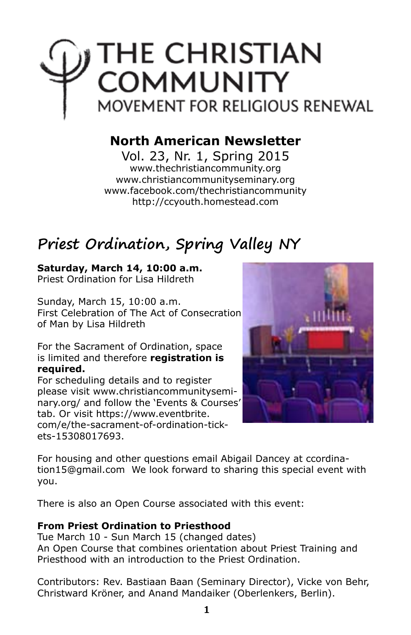

## **North American Newsletter**

Vol. 23, Nr. 1, Spring 2015 www.thechristiancommunity.org www.christiancommunityseminary.org www.facebook.com/thechristiancommunity http://ccyouth.homestead.com

## **Priest Ordination, Spring Valley NY**

#### **Saturday, March 14, 10:00 a.m.**

Priest Ordination for Lisa Hildreth

Sunday, March 15, 10:00 a.m. First Celebration of The Act of Consecration of Man by Lisa Hildreth

For the Sacrament of Ordination, space is limited and therefore **registration is required.**

For scheduling details and to register please visit www.christiancommunityseminary.org/ and follow the 'Events & Courses' tab. Or visit https://www.eventbrite. com/e/the-sacrament-of-ordination-tickets-15308017693.



For housing and other questions email Abigail Dancey at ccordination15@gmail.com We look forward to sharing this special event with you.

There is also an Open Course associated with this event:

#### **From Priest Ordination to Priesthood**

Tue March 10 - Sun March 15 (changed dates) An Open Course that combines orientation about Priest Training and Priesthood with an introduction to the Priest Ordination.

Contributors: Rev. Bastiaan Baan (Seminary Director), Vicke von Behr, Christward Kröner, and Anand Mandaiker (Oberlenkers, Berlin).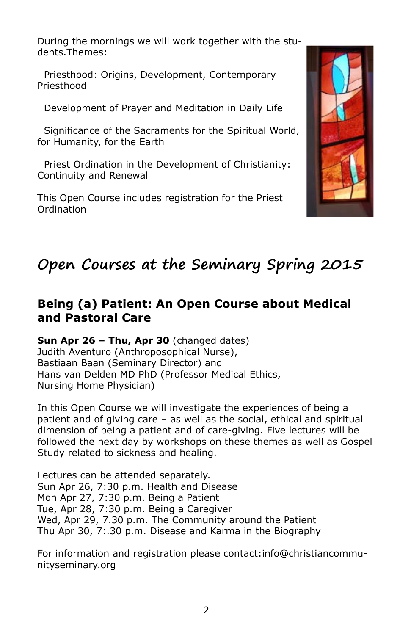During the mornings we will work together with the students.Themes:

 Priesthood: Origins, Development, Contemporary Priesthood

Development of Prayer and Meditation in Daily Life

 Significance of the Sacraments for the Spiritual World, for Humanity, for the Earth

 Priest Ordination in the Development of Christianity: Continuity and Renewal

This Open Course includes registration for the Priest Ordination



# **Open Courses at the Seminary Spring 2015**

#### **Being (a) Patient: An Open Course about Medical and Pastoral Care**

**Sun Apr 26 – Thu, Apr 30** (changed dates) Judith Aventuro (Anthroposophical Nurse), Bastiaan Baan (Seminary Director) and Hans van Delden MD PhD (Professor Medical Ethics, Nursing Home Physician)

In this Open Course we will investigate the experiences of being a patient and of giving care – as well as the social, ethical and spiritual dimension of being a patient and of care-giving. Five lectures will be followed the next day by workshops on these themes as well as Gospel Study related to sickness and healing.

Lectures can be attended separately. Sun Apr 26, 7:30 p.m. Health and Disease Mon Apr 27, 7:30 p.m. Being a Patient Tue, Apr 28, 7:30 p.m. Being a Caregiver Wed, Apr 29, 7.30 p.m. The Community around the Patient Thu Apr 30, 7:.30 p.m. Disease and Karma in the Biography

For information and registration please contact:info@christiancommunityseminary.org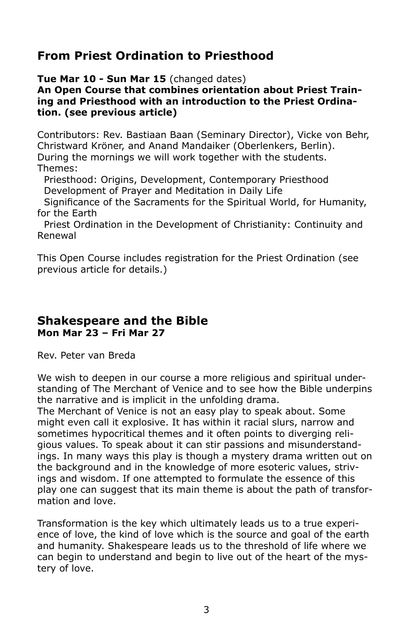### **From Priest Ordination to Priesthood**

**Tue Mar 10 - Sun Mar 15** (changed dates)

**An Open Course that combines orientation about Priest Training and Priesthood with an introduction to the Priest Ordination. (see previous article)**

Contributors: Rev. Bastiaan Baan (Seminary Director), Vicke von Behr, Christward Kröner, and Anand Mandaiker (Oberlenkers, Berlin). During the mornings we will work together with the students. Themes:

 Priesthood: Origins, Development, Contemporary Priesthood Development of Prayer and Meditation in Daily Life

 Significance of the Sacraments for the Spiritual World, for Humanity, for the Earth

 Priest Ordination in the Development of Christianity: Continuity and Renewal

This Open Course includes registration for the Priest Ordination (see previous article for details.)

#### **Shakespeare and the Bible Mon Mar 23 – Fri Mar 27**

Rev. Peter van Breda

We wish to deepen in our course a more religious and spiritual understanding of The Merchant of Venice and to see how the Bible underpins the narrative and is implicit in the unfolding drama.

The Merchant of Venice is not an easy play to speak about. Some might even call it explosive. It has within it racial slurs, narrow and sometimes hypocritical themes and it often points to diverging religious values. To speak about it can stir passions and misunderstandings. In many ways this play is though a mystery drama written out on the background and in the knowledge of more esoteric values, strivings and wisdom. If one attempted to formulate the essence of this play one can suggest that its main theme is about the path of transformation and love.

Transformation is the key which ultimately leads us to a true experience of love, the kind of love which is the source and goal of the earth and humanity. Shakespeare leads us to the threshold of life where we can begin to understand and begin to live out of the heart of the mystery of love.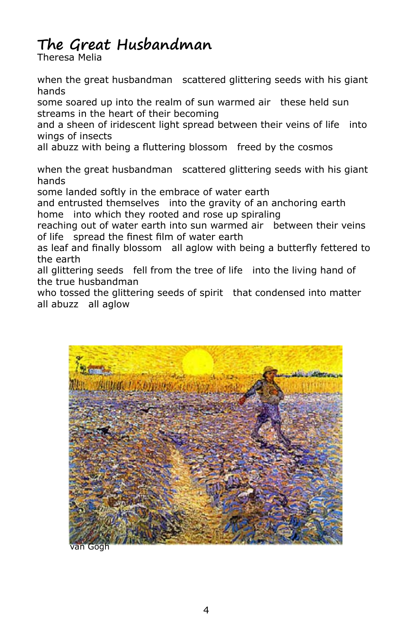# **The Great Husbandman**

Theresa Melia

when the great husbandman scattered glittering seeds with his giant hands

some soared up into the realm of sun warmed air these held sun streams in the heart of their becoming

and a sheen of iridescent light spread between their veins of life into wings of insects

all abuzz with being a fluttering blossom freed by the cosmos

when the great husbandman scattered glittering seeds with his giant hands

some landed softly in the embrace of water earth

and entrusted themselves into the gravity of an anchoring earth home into which they rooted and rose up spiraling

reaching out of water earth into sun warmed air between their veins of life spread the finest film of water earth

as leaf and finally blossom all aglow with being a butterfly fettered to the earth

all glittering seeds fell from the tree of life into the living hand of the true husbandman

who tossed the glittering seeds of spirit that condensed into matter all abuzz all aglow



van Gogh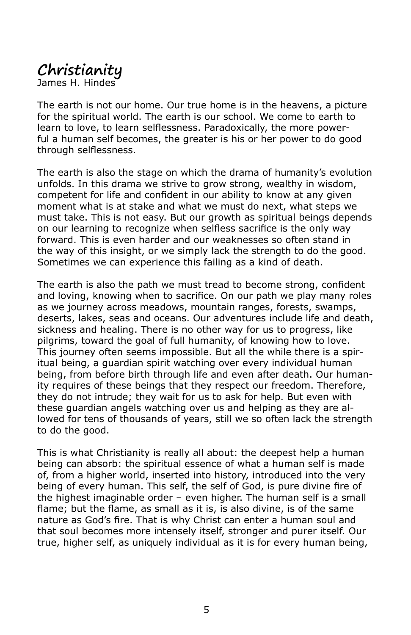# **Christianity**

James H. Hindes

The earth is not our home. Our true home is in the heavens, a picture for the spiritual world. The earth is our school. We come to earth to learn to love, to learn selflessness. Paradoxically, the more powerful a human self becomes, the greater is his or her power to do good through selflessness.

The earth is also the stage on which the drama of humanity's evolution unfolds. In this drama we strive to grow strong, wealthy in wisdom, competent for life and confident in our ability to know at any given moment what is at stake and what we must do next, what steps we must take. This is not easy. But our growth as spiritual beings depends on our learning to recognize when selfless sacrifice is the only way forward. This is even harder and our weaknesses so often stand in the way of this insight, or we simply lack the strength to do the good. Sometimes we can experience this failing as a kind of death.

The earth is also the path we must tread to become strong, confident and loving, knowing when to sacrifice. On our path we play many roles as we journey across meadows, mountain ranges, forests, swamps, deserts, lakes, seas and oceans. Our adventures include life and death, sickness and healing. There is no other way for us to progress, like pilgrims, toward the goal of full humanity, of knowing how to love. This journey often seems impossible. But all the while there is a spiritual being, a guardian spirit watching over every individual human being, from before birth through life and even after death. Our humanity requires of these beings that they respect our freedom. Therefore, they do not intrude; they wait for us to ask for help. But even with these guardian angels watching over us and helping as they are allowed for tens of thousands of years, still we so often lack the strength to do the good.

This is what Christianity is really all about: the deepest help a human being can absorb: the spiritual essence of what a human self is made of, from a higher world, inserted into history, introduced into the very being of every human. This self, the self of God, is pure divine fire of the highest imaginable order – even higher. The human self is a small flame; but the flame, as small as it is, is also divine, is of the same nature as God's fire. That is why Christ can enter a human soul and that soul becomes more intensely itself, stronger and purer itself. Our true, higher self, as uniquely individual as it is for every human being,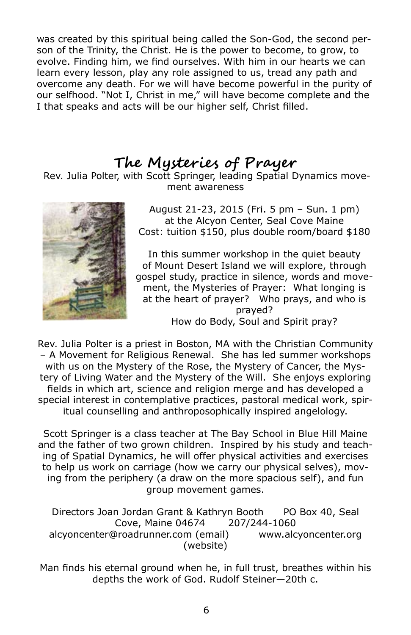was created by this spiritual being called the Son-God, the second person of the Trinity, the Christ. He is the power to become, to grow, to evolve. Finding him, we find ourselves. With him in our hearts we can learn every lesson, play any role assigned to us, tread any path and overcome any death. For we will have become powerful in the purity of our selfhood. "Not I, Christ in me," will have become complete and the I that speaks and acts will be our higher self, Christ filled.

## **The Mysteries of Prayer**

 Rev. Julia Polter, with Scott Springer, leading Spatial Dynamics movement awareness



August 21-23, 2015 (Fri. 5 pm – Sun. 1 pm) at the Alcyon Center, Seal Cove Maine Cost: tuition \$150, plus double room/board \$180

In this summer workshop in the quiet beauty of Mount Desert Island we will explore, through gospel study, practice in silence, words and movement, the Mysteries of Prayer: What longing is at the heart of prayer? Who prays, and who is prayed? How do Body, Soul and Spirit pray?

Rev. Julia Polter is a priest in Boston, MA with the Christian Community – A Movement for Religious Renewal. She has led summer workshops with us on the Mystery of the Rose, the Mystery of Cancer, the Mystery of Living Water and the Mystery of the Will. She enjoys exploring fields in which art, science and religion merge and has developed a special interest in contemplative practices, pastoral medical work, spiritual counselling and anthroposophically inspired angelology.

Scott Springer is a class teacher at The Bay School in Blue Hill Maine and the father of two grown children. Inspired by his study and teaching of Spatial Dynamics, he will offer physical activities and exercises to help us work on carriage (how we carry our physical selves), moving from the periphery (a draw on the more spacious self), and fun group movement games.

Directors Joan Jordan Grant & Kathryn Booth PO Box 40, Seal Cove, Maine 04674 207/244-1060 alcyoncenter@roadrunner.com (email) www.alcyoncenter.org (website)

Man finds his eternal ground when he, in full trust, breathes within his depths the work of God. Rudolf Steiner—20th c.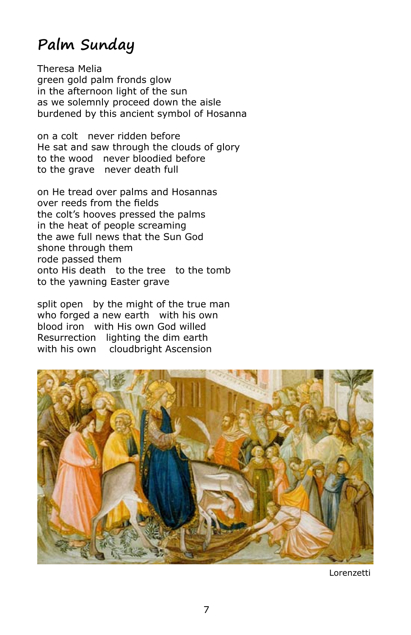## **Palm Sunday**

Theresa Melia green gold palm fronds glow in the afternoon light of the sun as we solemnly proceed down the aisle burdened by this ancient symbol of Hosanna

on a colt never ridden before He sat and saw through the clouds of glory to the wood never bloodied before to the grave never death full

on He tread over palms and Hosannas over reeds from the fields the colt's hooves pressed the palms in the heat of people screaming the awe full news that the Sun God shone through them rode passed them onto His death to the tree to the tomb to the yawning Easter grave

split open by the might of the true man who forged a new earth with his own blood iron with His own God willed Resurrection lighting the dim earth with his own cloudbright Ascension



Lorenzetti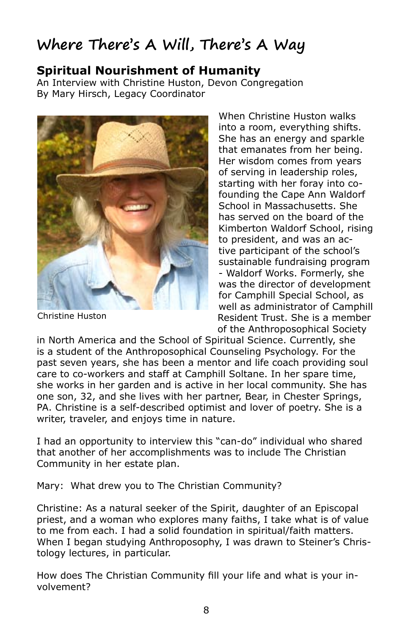# **Where There's A Will, There's A Way**

#### **Spiritual Nourishment of Humanity**

An Interview with Christine Huston, Devon Congregation By Mary Hirsch, Legacy Coordinator



Christine Huston

When Christine Huston walks into a room, everything shifts. She has an energy and sparkle that emanates from her being. Her wisdom comes from years of serving in leadership roles, starting with her foray into cofounding the Cape Ann Waldorf School in Massachusetts. She has served on the board of the Kimberton Waldorf School, rising to president, and was an active participant of the school's sustainable fundraising program - Waldorf Works. Formerly, she was the director of development for Camphill Special School, as well as administrator of Camphill Resident Trust. She is a member of the Anthroposophical Society

in North America and the School of Spiritual Science. Currently, she is a student of the Anthroposophical Counseling Psychology. For the past seven years, she has been a mentor and life coach providing soul care to co-workers and staff at Camphill Soltane. In her spare time, she works in her garden and is active in her local community. She has one son, 32, and she lives with her partner, Bear, in Chester Springs, PA. Christine is a self-described optimist and lover of poetry. She is a writer, traveler, and enjoys time in nature.

I had an opportunity to interview this "can-do" individual who shared that another of her accomplishments was to include The Christian Community in her estate plan.

Mary: What drew you to The Christian Community?

Christine: As a natural seeker of the Spirit, daughter of an Episcopal priest, and a woman who explores many faiths, I take what is of value to me from each. I had a solid foundation in spiritual/faith matters. When I began studying Anthroposophy, I was drawn to Steiner's Christology lectures, in particular.

How does The Christian Community fill your life and what is your involvement?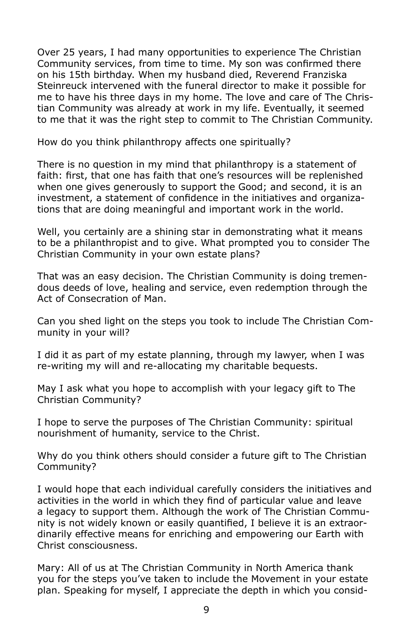Over 25 years, I had many opportunities to experience The Christian Community services, from time to time. My son was confirmed there on his 15th birthday. When my husband died, Reverend Franziska Steinreuck intervened with the funeral director to make it possible for me to have his three days in my home. The love and care of The Christian Community was already at work in my life. Eventually, it seemed to me that it was the right step to commit to The Christian Community.

How do you think philanthropy affects one spiritually?

There is no question in my mind that philanthropy is a statement of faith: first, that one has faith that one's resources will be replenished when one gives generously to support the Good; and second, it is an investment, a statement of confidence in the initiatives and organizations that are doing meaningful and important work in the world.

Well, you certainly are a shining star in demonstrating what it means to be a philanthropist and to give. What prompted you to consider The Christian Community in your own estate plans?

That was an easy decision. The Christian Community is doing tremendous deeds of love, healing and service, even redemption through the Act of Consecration of Man.

Can you shed light on the steps you took to include The Christian Community in your will?

I did it as part of my estate planning, through my lawyer, when I was re-writing my will and re-allocating my charitable bequests.

May I ask what you hope to accomplish with your legacy gift to The Christian Community?

I hope to serve the purposes of The Christian Community: spiritual nourishment of humanity, service to the Christ.

Why do you think others should consider a future gift to The Christian Community?

I would hope that each individual carefully considers the initiatives and activities in the world in which they find of particular value and leave a legacy to support them. Although the work of The Christian Community is not widely known or easily quantified, I believe it is an extraordinarily effective means for enriching and empowering our Earth with Christ consciousness.

Mary: All of us at The Christian Community in North America thank you for the steps you've taken to include the Movement in your estate plan. Speaking for myself, I appreciate the depth in which you consid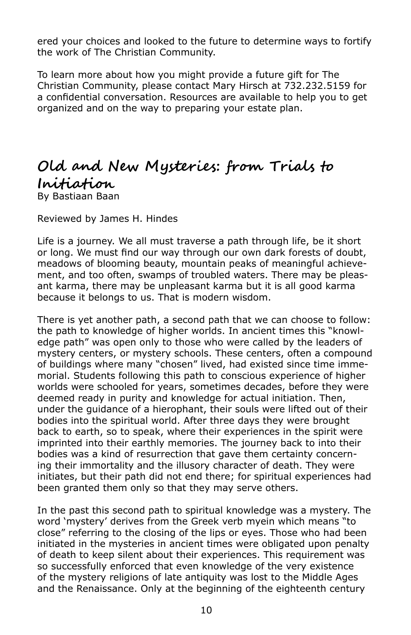ered your choices and looked to the future to determine ways to fortify the work of The Christian Community.

To learn more about how you might provide a future gift for The Christian Community, please contact Mary Hirsch at 732.232.5159 for a confidential conversation. Resources are available to help you to get organized and on the way to preparing your estate plan.

### **Old and New Mysteries: from Trials to Initiation** By Bastiaan Baan

Reviewed by James H. Hindes

Life is a journey. We all must traverse a path through life, be it short or long. We must find our way through our own dark forests of doubt, meadows of blooming beauty, mountain peaks of meaningful achievement, and too often, swamps of troubled waters. There may be pleasant karma, there may be unpleasant karma but it is all good karma because it belongs to us. That is modern wisdom.

There is yet another path, a second path that we can choose to follow: the path to knowledge of higher worlds. In ancient times this "knowledge path" was open only to those who were called by the leaders of mystery centers, or mystery schools. These centers, often a compound of buildings where many "chosen" lived, had existed since time immemorial. Students following this path to conscious experience of higher worlds were schooled for years, sometimes decades, before they were deemed ready in purity and knowledge for actual initiation. Then, under the guidance of a hierophant, their souls were lifted out of their bodies into the spiritual world. After three days they were brought back to earth, so to speak, where their experiences in the spirit were imprinted into their earthly memories. The journey back to into their bodies was a kind of resurrection that gave them certainty concerning their immortality and the illusory character of death. They were initiates, but their path did not end there; for spiritual experiences had been granted them only so that they may serve others.

In the past this second path to spiritual knowledge was a mystery. The word 'mystery' derives from the Greek verb myein which means "to close" referring to the closing of the lips or eyes. Those who had been initiated in the mysteries in ancient times were obligated upon penalty of death to keep silent about their experiences. This requirement was so successfully enforced that even knowledge of the very existence of the mystery religions of late antiquity was lost to the Middle Ages and the Renaissance. Only at the beginning of the eighteenth century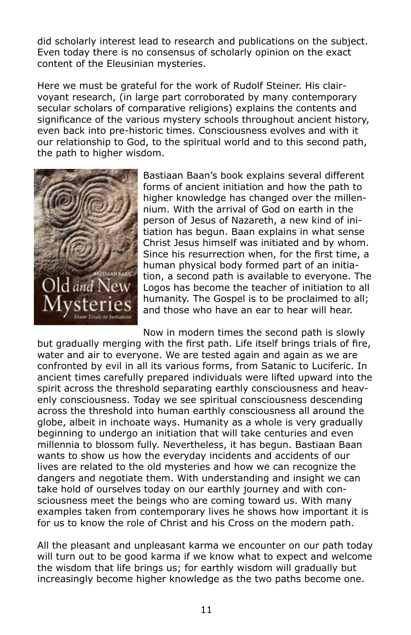did scholarly interest lead to research and publications on the subject. Even today there is no consensus of scholarly opinion on the exact content of the Eleusinian mysteries.

Here we must be grateful for the work of Rudolf Steiner. His clairvoyant research, (in large part corroborated by many contemporary secular scholars of comparative religions) explains the contents and significance of the various mystery schools throughout ancient history, even back into pre-historic times. Consciousness evolves and with it our relationship to God, to the spiritual world and to this second path, the path to higher wisdom.



Bastiaan Baan's book explains several different forms of ancient initiation and how the path to higher knowledge has changed over the millennium. With the arrival of God on earth in the person of Jesus of Nazareth, a new kind of initiation has begun. Baan explains in what sense Christ Jesus himself was initiated and by whom. Since his resurrection when, for the first time, a human physical body formed part of an initiation, a second path is available to everyone. The Logos has become the teacher of initiation to all humanity. The Gospel is to be proclaimed to all; and those who have an ear to hear will hear.

Now in modern times the second path is slowly

but gradually merging with the first path. Life itself brings trials of fire, water and air to everyone. We are tested again and again as we are confronted by evil in all its various forms, from Satanic to Luciferic. In ancient times carefully prepared individuals were lifted upward into the spirit across the threshold separating earthly consciousness and heavenly consciousness. Today we see spiritual consciousness descending across the threshold into human earthly consciousness all around the globe, albeit in inchoate ways. Humanity as a whole is very gradually beginning to undergo an initiation that will take centuries and even millennia to blossom fully. Nevertheless, it has begun. Bastiaan Baan wants to show us how the everyday incidents and accidents of our lives are related to the old mysteries and how we can recognize the dangers and negotiate them. With understanding and insight we can take hold of ourselves today on our earthly journey and with consciousness meet the beings who are coming toward us. With many examples taken from contemporary lives he shows how important it is for us to know the role of Christ and his Cross on the modern path.

All the pleasant and unpleasant karma we encounter on our path today will turn out to be good karma if we know what to expect and welcome the wisdom that life brings us; for earthly wisdom will gradually but increasingly become higher knowledge as the two paths become one.